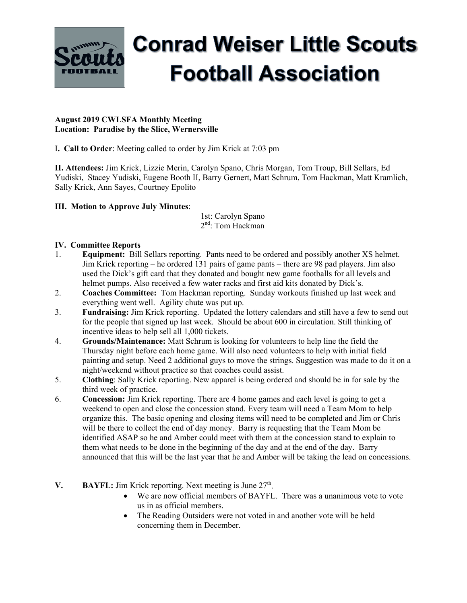

# **Conrad Weiser Little Scouts Football Association**

#### **August 2019 CWLSFA Monthly Meeting Location: Paradise by the Slice, Wernersville**

I**. Call to Order**: Meeting called to order by Jim Krick at 7:03 pm

**II. Attendees:** Jim Krick, Lizzie Merin, Carolyn Spano, Chris Morgan, Tom Troup, Bill Sellars, Ed Yudiski, Stacey Yudiski, Eugene Booth II, Barry Gernert, Matt Schrum, Tom Hackman, Matt Kramlich, Sally Krick, Ann Sayes, Courtney Epolito

### **III. Motion to Approve July Minutes**:

 1st: Carolyn Spano 2<sup>nd</sup>: Tom Hackman

## **IV. Committee Reports**

- 1. **Equipment:** Bill Sellars reporting. Pants need to be ordered and possibly another XS helmet. Jim Krick reporting – he ordered 131 pairs of game pants – there are 98 pad players. Jim also used the Dick's gift card that they donated and bought new game footballs for all levels and helmet pumps. Also received a few water racks and first aid kits donated by Dick's.
- 2. **Coaches Committee:** Tom Hackman reporting. Sunday workouts finished up last week and everything went well. Agility chute was put up.
- 3. **Fundraising:** Jim Krick reporting. Updated the lottery calendars and still have a few to send out for the people that signed up last week. Should be about 600 in circulation. Still thinking of incentive ideas to help sell all 1,000 tickets.
- 4. **Grounds/Maintenance:** Matt Schrum is looking for volunteers to help line the field the Thursday night before each home game. Will also need volunteers to help with initial field painting and setup. Need 2 additional guys to move the strings. Suggestion was made to do it on a night/weekend without practice so that coaches could assist.
- 5. **Clothing**: Sally Krick reporting. New apparel is being ordered and should be in for sale by the third week of practice.
- 6. **Concession:** Jim Krick reporting. There are 4 home games and each level is going to get a weekend to open and close the concession stand. Every team will need a Team Mom to help organize this. The basic opening and closing items will need to be completed and Jim or Chris will be there to collect the end of day money. Barry is requesting that the Team Mom be identified ASAP so he and Amber could meet with them at the concession stand to explain to them what needs to be done in the beginning of the day and at the end of the day. Barry announced that this will be the last year that he and Amber will be taking the lead on concessions.
- **V. BAYFL:** Jim Krick reporting. Next meeting is June 27<sup>th</sup>.
	- We are now official members of BAYFL. There was a unanimous vote to vote us in as official members.
	- The Reading Outsiders were not voted in and another vote will be held concerning them in December.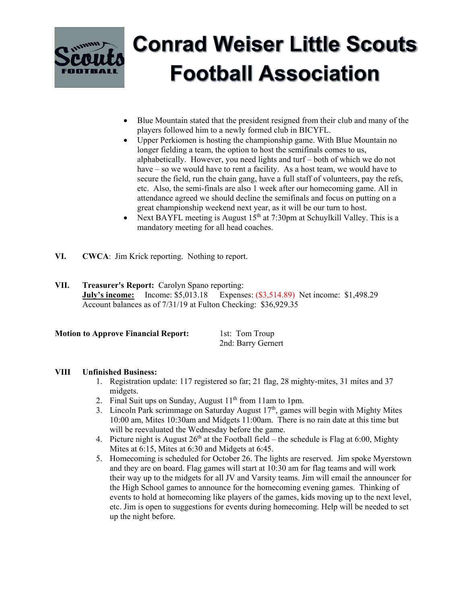

## **Conrad Weiser Little Scouts Football Association**

- Blue Mountain stated that the president resigned from their club and many of the players followed him to a newly formed club in BICYFL.
- Upper Perkiomen is hosting the championship game. With Blue Mountain no longer fielding a team, the option to host the semifinals comes to us, alphabetically. However, you need lights and turf – both of which we do not have – so we would have to rent a facility. As a host team, we would have to secure the field, run the chain gang, have a full staff of volunteers, pay the refs, etc. Also, the semi-finals are also 1 week after our homecoming game. All in attendance agreed we should decline the semifinals and focus on putting on a great championship weekend next year, as it will be our turn to host.
- Next BAYFL meeting is August  $15<sup>th</sup>$  at 7:30pm at Schuylkill Valley. This is a mandatory meeting for all head coaches.
- **VI. CWCA**: Jim Krick reporting. Nothing to report.

## **VII. Treasurer's Report:** Carolyn Spano reporting:

**July's income:** Income: \$5,013.18 Expenses: (\$3,514.89) Net income: \$1,498.29 Account balances as of 7/31/19 at Fulton Checking: \$36,929.35

| <b>Motion to Approve Financial Report:</b> | 1st: Tom Troup     |
|--------------------------------------------|--------------------|
|                                            | 2nd: Barry Gernert |

#### **VIII Unfinished Business:**

- 1. Registration update: 117 registered so far; 21 flag, 28 mighty-mites, 31 mites and 37 midgets.
- 2. Final Suit ups on Sunday, August  $11<sup>th</sup>$  from 11am to 1pm.
- 3. Lincoln Park scrimmage on Saturday August 17<sup>th</sup>, games will begin with Mighty Mites 10:00 am, Mites 10:30am and Midgets 11:00am. There is no rain date at this time but will be reevaluated the Wednesday before the game.
- 4. Picture night is August  $26<sup>th</sup>$  at the Football field the schedule is Flag at 6:00, Mighty Mites at 6:15, Mites at 6:30 and Midgets at 6:45.
- 5. Homecoming is scheduled for October 26. The lights are reserved. Jim spoke Myerstown and they are on board. Flag games will start at 10:30 am for flag teams and will work their way up to the midgets for all JV and Varsity teams. Jim will email the announcer for the High School games to announce for the homecoming evening games. Thinking of events to hold at homecoming like players of the games, kids moving up to the next level, etc. Jim is open to suggestions for events during homecoming. Help will be needed to set up the night before.